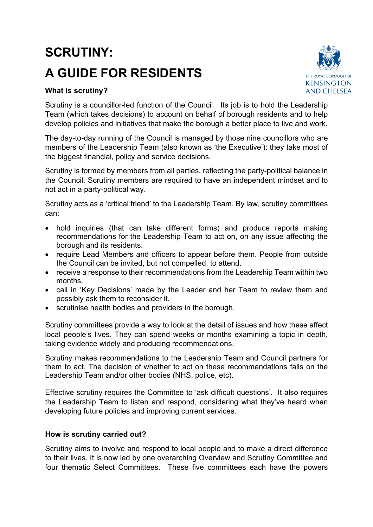# **SCRUTINY: A GUIDE FOR RESIDENTS**





Scrutiny is a councillor-led function of the Council. Its job is to hold the Leadership Team (which takes decisions) to account on behalf of borough residents and to help develop policies and initiatives that make the borough a better place to live and work.

The day-to-day running of the Council is managed by those nine councillors who are members of the Leadership Team (also known as 'the Executive'): they take most of the biggest financial, policy and service decisions.

Scrutiny is formed by members from all parties, reflecting the party-political balance in the Council. Scrutiny members are required to have an independent mindset and to not act in a party-political way.

Scrutiny acts as a 'critical friend' to the Leadership Team. By law, scrutiny committees can:

- hold inquiries (that can take different forms) and produce reports making recommendations for the Leadership Team to act on, on any issue affecting the borough and its residents.
- require Lead Members and officers to appear before them. People from outside the Council can be invited, but not compelled, to attend.
- receive a response to their recommendations from the Leadership Team within two months.
- call in 'Key Decisions' made by the Leader and her Team to review them and possibly ask them to reconsider it.
- scrutinise health bodies and providers in the borough.

Scrutiny committees provide a way to look at the detail of issues and how these affect local people's lives. They can spend weeks or months examining a topic in depth, taking evidence widely and producing recommendations.

Scrutiny makes recommendations to the Leadership Team and Council partners for them to act. The decision of whether to act on these recommendations falls on the Leadership Team and/or other bodies (NHS, police, etc).

Effective scrutiny requires the Committee to 'ask difficult questions'. It also requires the Leadership Team to listen and respond, considering what they've heard when developing future policies and improving current services.

## **How is scrutiny carried out?**

Scrutiny aims to involve and respond to local people and to make a direct difference to their lives. It is now led by one overarching Overview and Scrutiny Committee and four thematic Select Committees. These five committees each have the powers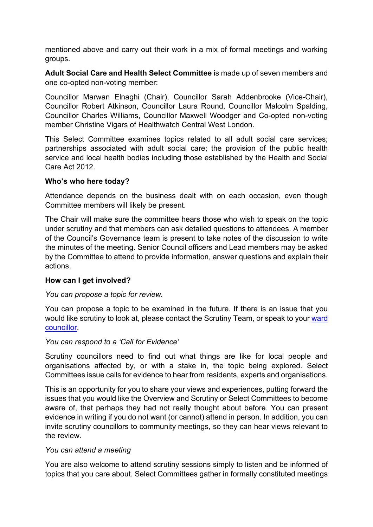mentioned above and carry out their work in a mix of formal meetings and working groups.

**Adult Social Care and Health Select Committee** is made up of seven members and one co-opted non-voting member:

Councillor Marwan Elnaghi (Chair), Councillor Sarah Addenbrooke (Vice-Chair), Councillor Robert Atkinson, Councillor Laura Round, Councillor Malcolm Spalding, Councillor Charles Williams, Councillor Maxwell Woodger and Co-opted non-voting member Christine Vigars of Healthwatch Central West London.

This Select Committee examines topics related to all adult social care services; partnerships associated with adult social care; the provision of the public health service and local health bodies including those established by the Health and Social Care Act 2012.

## **Who's who here today?**

Attendance depends on the business dealt with on each occasion, even though Committee members will likely be present.

The Chair will make sure the committee hears those who wish to speak on the topic under scrutiny and that members can ask detailed questions to attendees. A member of the Council's Governance team is present to take notes of the discussion to write the minutes of the meeting. Senior Council officers and Lead members may be asked by the Committee to attend to provide information, answer questions and explain their actions.

## **How can I get involved?**

#### *You can propose a topic for review.*

You can propose a topic to be examined in the future. If there is an issue that you would like scrutiny to look at, please contact the Scrutiny Team, or speak to your ward [councillor.](https://www.rbkc.gov.uk/council-councillors-and-democracy/councillors-and-committees/find-your-councillor-and-ward)

#### *You can respond to a 'Call for Evidence'*

Scrutiny councillors need to find out what things are like for local people and organisations affected by, or with a stake in, the topic being explored. Select Committees issue calls for evidence to hear from residents, experts and organisations.

This is an opportunity for you to share your views and experiences, putting forward the issues that you would like the Overview and Scrutiny or Select Committees to become aware of, that perhaps they had not really thought about before. You can present evidence in writing if you do not want (or cannot) attend in person. In addition, you can invite scrutiny councillors to community meetings, so they can hear views relevant to the review.

#### *You can attend a meeting*

You are also welcome to attend scrutiny sessions simply to listen and be informed of topics that you care about. Select Committees gather in formally constituted meetings